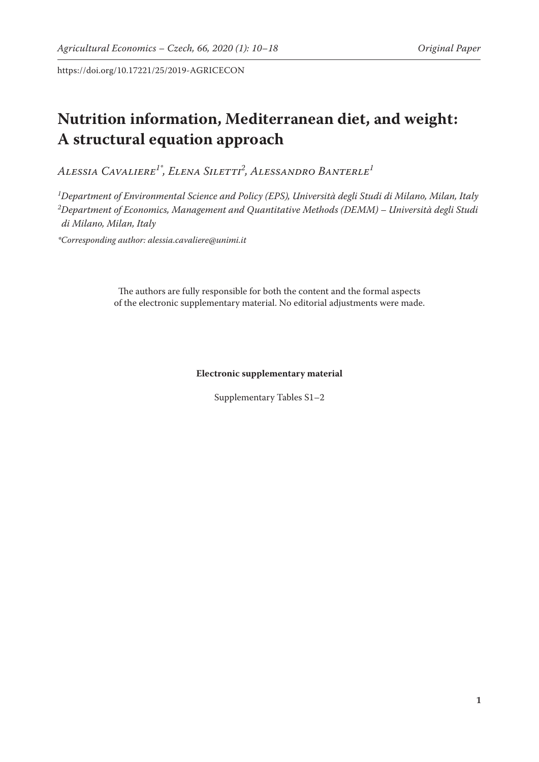https://doi.org/10.17221/25/2019-AGRICECON

# **Nutrition information, Mediterranean diet, and weight: A structural equation approach**

*Alessia Cavaliere1\*, Elena Siletti2 , Alessandro Banterle1*

*1 Department of Environmental Science and Policy (EPS), Università degli Studi di Milano, Milan, Italy 2 Department of Economics, Management and Quantitative Methods (DEMM) – Università degli Studi di Milano, Milan, Italy*

*\*Corresponding author: alessia.cavaliere@unimi.it*

The authors are fully responsible for both the content and the formal aspects of the electronic supplementary material. No editorial adjustments were made.

#### **Electronic supplementary material**

Supplementary Tables S1–2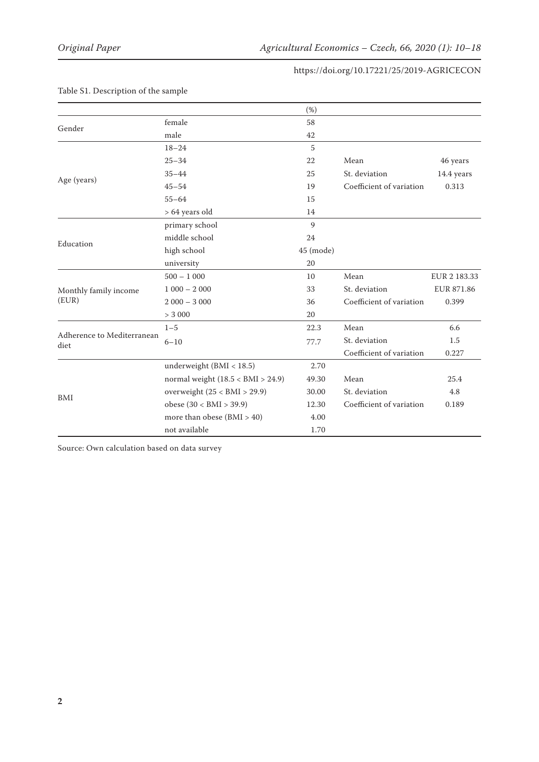### https://doi.org/10.17221/25/2019-AGRICECON

|                                    |                                     | (%)           |                          |              |
|------------------------------------|-------------------------------------|---------------|--------------------------|--------------|
|                                    | female                              | 58            |                          |              |
| Gender                             | male                                | 42            |                          |              |
|                                    | $18 - 24$                           | 5             |                          |              |
|                                    | $25 - 34$                           | 22            | Mean                     | 46 years     |
| Age (years)                        | $35 - 44$                           | 25            | St. deviation            | 14.4 years   |
|                                    | $45 - 54$                           | 19            | Coefficient of variation | 0.313        |
|                                    | $55 - 64$                           | 15            |                          |              |
|                                    | > 64 years old                      | 14            |                          |              |
|                                    | primary school                      | $\mathbf{Q}$  |                          |              |
| Education                          | middle school                       | 24            |                          |              |
|                                    | high school                         | $45 \pmod{e}$ |                          |              |
|                                    | university                          | 20            |                          |              |
|                                    | $500 - 1000$                        | 10            | Mean                     | EUR 2 183.33 |
| Monthly family income              | $1000 - 2000$                       | 33            | St. deviation            | EUR 871.86   |
| (EUR)                              | $2000 - 3000$                       | 36            | Coefficient of variation | 0.399        |
|                                    | > 3000                              | 20            |                          |              |
| Adherence to Mediterranean<br>diet | $1 - 5$                             | 22.3          | Mean                     | 6.6          |
|                                    | $6 - 10$                            | 77.7          | St. deviation            | 1.5          |
|                                    |                                     |               | Coefficient of variation | 0.227        |
| BMI                                | underweight $(BMI < 18.5)$          | 2.70          |                          |              |
|                                    | normal weight $(18.5 < BMI > 24.9)$ | 49.30         | Mean                     | 25.4         |
|                                    | overweight $(25 < BMI > 29.9)$      | 30.00         | St. deviation            | 4.8          |
|                                    | obese $(30 < BMI > 39.9)$           | 12.30         | Coefficient of variation | 0.189        |
|                                    | more than obese $(BMI > 40)$        | 4.00          |                          |              |
|                                    | not available                       | 1.70          |                          |              |

# Table S1. Description of the sample

Source: Own calculation based on data survey